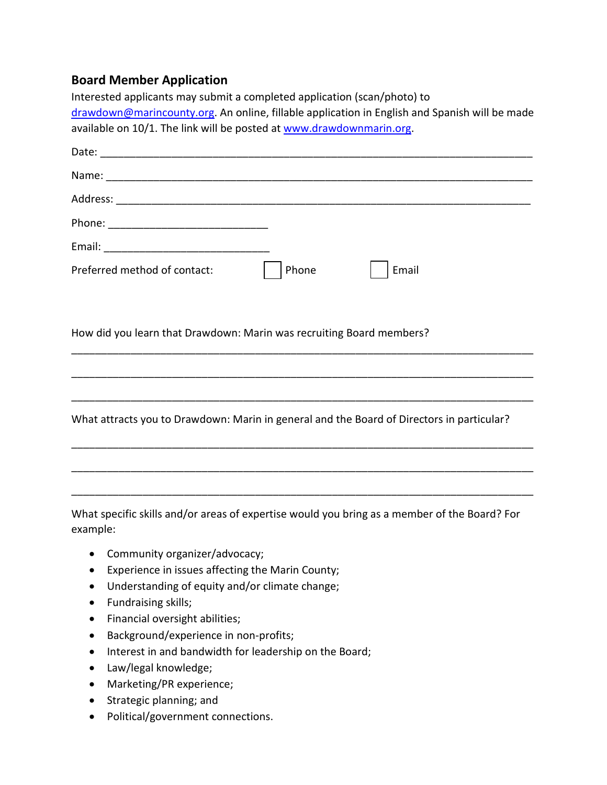## **Board Member Application**

| Interested applicants may submit a completed application (scan/photo) to                                 |
|----------------------------------------------------------------------------------------------------------|
| drawdown@marincounty.org. An online, fillable application in English and Spanish will be made            |
| available on 10/1. The link will be posted at www.drawdownmarin.org.                                     |
|                                                                                                          |
|                                                                                                          |
|                                                                                                          |
|                                                                                                          |
|                                                                                                          |
| Phone<br>Preferred method of contact:<br>Email                                                           |
|                                                                                                          |
| How did you learn that Drawdown: Marin was recruiting Board members?                                     |
|                                                                                                          |
|                                                                                                          |
| What attracts you to Drawdown: Marin in general and the Board of Directors in particular?                |
|                                                                                                          |
|                                                                                                          |
| What specific skills and/or areas of expertise would you bring as a member of the Board? For<br>example: |

- Community organizer/advocacy;
- Experience in issues affecting the Marin County;
- Understanding of equity and/or climate change;
- Fundraising skills;
- Financial oversight abilities;
- Background/experience in non-profits;
- Interest in and bandwidth for leadership on the Board;
- Law/legal knowledge;
- Marketing/PR experience;
- Strategic planning; and
- Political/government connections.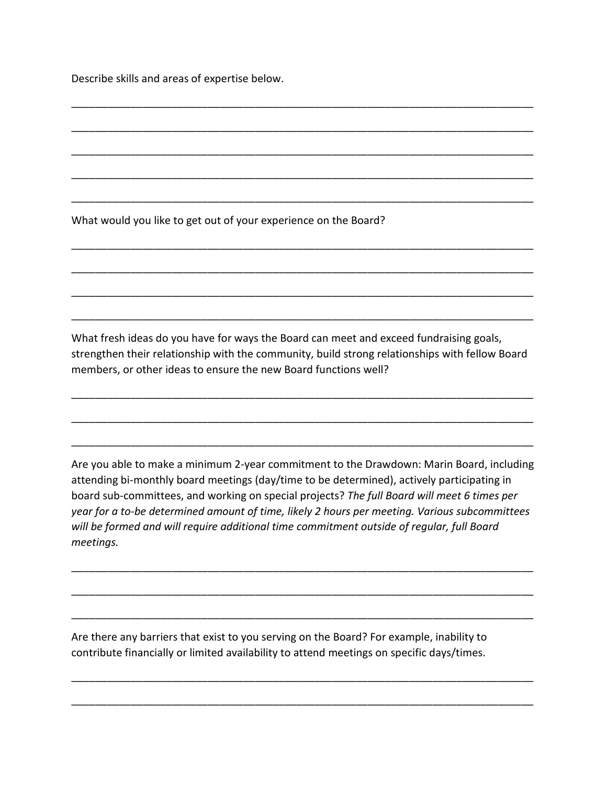Describe skills and areas of expertise below.

What would you like to get out of your experience on the Board?

What fresh ideas do you have for ways the Board can meet and exceed fundraising goals, strengthen their relationship with the community, build strong relationships with fellow Board members, or other ideas to ensure the new Board functions well?

\_\_\_\_\_\_\_\_\_\_\_\_\_\_\_\_\_\_\_\_\_\_\_\_\_\_\_\_\_\_\_\_\_\_\_\_\_\_\_\_\_\_\_\_\_\_\_\_\_\_\_\_\_\_\_\_\_\_\_\_\_\_\_\_\_\_\_\_\_\_\_\_\_\_\_\_\_\_

\_\_\_\_\_\_\_\_\_\_\_\_\_\_\_\_\_\_\_\_\_\_\_\_\_\_\_\_\_\_\_\_\_\_\_\_\_\_\_\_\_\_\_\_\_\_\_\_\_\_\_\_\_\_\_\_\_\_\_\_\_\_\_\_\_\_\_\_\_\_\_\_\_\_\_\_\_\_

\_\_\_\_\_\_\_\_\_\_\_\_\_\_\_\_\_\_\_\_\_\_\_\_\_\_\_\_\_\_\_\_\_\_\_\_\_\_\_\_\_\_\_\_\_\_\_\_\_\_\_\_\_\_\_\_\_\_\_\_\_\_\_\_\_\_\_\_\_\_\_\_\_\_\_\_\_\_

\_\_\_\_\_\_\_\_\_\_\_\_\_\_\_\_\_\_\_\_\_\_\_\_\_\_\_\_\_\_\_\_\_\_\_\_\_\_\_\_\_\_\_\_\_\_\_\_\_\_\_\_\_\_\_\_\_\_\_\_\_\_\_\_\_\_\_\_\_\_\_\_\_\_\_\_\_\_

\_\_\_\_\_\_\_\_\_\_\_\_\_\_\_\_\_\_\_\_\_\_\_\_\_\_\_\_\_\_\_\_\_\_\_\_\_\_\_\_\_\_\_\_\_\_\_\_\_\_\_\_\_\_\_\_\_\_\_\_\_\_\_\_\_\_\_\_\_\_\_\_\_\_\_\_\_\_

\_\_\_\_\_\_\_\_\_\_\_\_\_\_\_\_\_\_\_\_\_\_\_\_\_\_\_\_\_\_\_\_\_\_\_\_\_\_\_\_\_\_\_\_\_\_\_\_\_\_\_\_\_\_\_\_\_\_\_\_\_\_\_\_\_\_\_\_\_\_\_\_\_\_\_\_\_\_

\_\_\_\_\_\_\_\_\_\_\_\_\_\_\_\_\_\_\_\_\_\_\_\_\_\_\_\_\_\_\_\_\_\_\_\_\_\_\_\_\_\_\_\_\_\_\_\_\_\_\_\_\_\_\_\_\_\_\_\_\_\_\_\_\_\_\_\_\_\_\_\_\_\_\_\_\_\_

\_\_\_\_\_\_\_\_\_\_\_\_\_\_\_\_\_\_\_\_\_\_\_\_\_\_\_\_\_\_\_\_\_\_\_\_\_\_\_\_\_\_\_\_\_\_\_\_\_\_\_\_\_\_\_\_\_\_\_\_\_\_\_\_\_\_\_\_\_\_\_\_\_\_\_\_\_\_

\_\_\_\_\_\_\_\_\_\_\_\_\_\_\_\_\_\_\_\_\_\_\_\_\_\_\_\_\_\_\_\_\_\_\_\_\_\_\_\_\_\_\_\_\_\_\_\_\_\_\_\_\_\_\_\_\_\_\_\_\_\_\_\_\_\_\_\_\_\_\_\_\_\_\_\_\_\_

\_\_\_\_\_\_\_\_\_\_\_\_\_\_\_\_\_\_\_\_\_\_\_\_\_\_\_\_\_\_\_\_\_\_\_\_\_\_\_\_\_\_\_\_\_\_\_\_\_\_\_\_\_\_\_\_\_\_\_\_\_\_\_\_\_\_\_\_\_\_\_\_\_\_\_\_\_\_

\_\_\_\_\_\_\_\_\_\_\_\_\_\_\_\_\_\_\_\_\_\_\_\_\_\_\_\_\_\_\_\_\_\_\_\_\_\_\_\_\_\_\_\_\_\_\_\_\_\_\_\_\_\_\_\_\_\_\_\_\_\_\_\_\_\_\_\_\_\_\_\_\_\_\_\_\_\_

\_\_\_\_\_\_\_\_\_\_\_\_\_\_\_\_\_\_\_\_\_\_\_\_\_\_\_\_\_\_\_\_\_\_\_\_\_\_\_\_\_\_\_\_\_\_\_\_\_\_\_\_\_\_\_\_\_\_\_\_\_\_\_\_\_\_\_\_\_\_\_\_\_\_\_\_\_\_

Are you able to make a minimum 2-year commitment to the Drawdown: Marin Board, including attending bi-monthly board meetings (day/time to be determined), actively participating in board sub-committees, and working on special projects? *The full Board will meet 6 times per year for a to-be determined amount of time, likely 2 hours per meeting. Various subcommittees will be formed and will require additional time commitment outside of regular, full Board meetings.* 

\_\_\_\_\_\_\_\_\_\_\_\_\_\_\_\_\_\_\_\_\_\_\_\_\_\_\_\_\_\_\_\_\_\_\_\_\_\_\_\_\_\_\_\_\_\_\_\_\_\_\_\_\_\_\_\_\_\_\_\_\_\_\_\_\_\_\_\_\_\_\_\_\_\_\_\_\_\_

\_\_\_\_\_\_\_\_\_\_\_\_\_\_\_\_\_\_\_\_\_\_\_\_\_\_\_\_\_\_\_\_\_\_\_\_\_\_\_\_\_\_\_\_\_\_\_\_\_\_\_\_\_\_\_\_\_\_\_\_\_\_\_\_\_\_\_\_\_\_\_\_\_\_\_\_\_\_

\_\_\_\_\_\_\_\_\_\_\_\_\_\_\_\_\_\_\_\_\_\_\_\_\_\_\_\_\_\_\_\_\_\_\_\_\_\_\_\_\_\_\_\_\_\_\_\_\_\_\_\_\_\_\_\_\_\_\_\_\_\_\_\_\_\_\_\_\_\_\_\_\_\_\_\_\_\_

\_\_\_\_\_\_\_\_\_\_\_\_\_\_\_\_\_\_\_\_\_\_\_\_\_\_\_\_\_\_\_\_\_\_\_\_\_\_\_\_\_\_\_\_\_\_\_\_\_\_\_\_\_\_\_\_\_\_\_\_\_\_\_\_\_\_\_\_\_\_\_\_\_\_\_\_\_\_

\_\_\_\_\_\_\_\_\_\_\_\_\_\_\_\_\_\_\_\_\_\_\_\_\_\_\_\_\_\_\_\_\_\_\_\_\_\_\_\_\_\_\_\_\_\_\_\_\_\_\_\_\_\_\_\_\_\_\_\_\_\_\_\_\_\_\_\_\_\_\_\_\_\_\_\_\_\_

 contribute financially or limited availability to attend meetings on specific days/times. Are there any barriers that exist to you serving on the Board? For example, inability to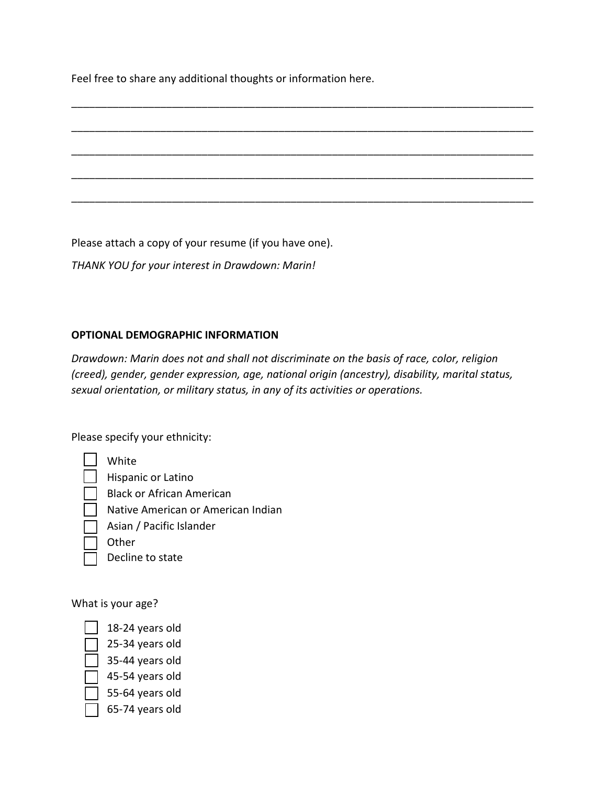Feel free to share any additional thoughts or information here.

\_\_\_\_\_\_\_\_\_\_\_\_\_\_\_\_\_\_\_\_\_\_\_\_\_\_\_\_\_\_\_\_\_\_\_\_\_\_\_\_\_\_\_\_\_\_\_\_\_\_\_\_\_\_\_\_\_\_\_\_\_\_\_\_\_\_\_\_\_\_\_\_\_\_\_\_\_\_ \_\_\_\_\_\_\_\_\_\_\_\_\_\_\_\_\_\_\_\_\_\_\_\_\_\_\_\_\_\_\_\_\_\_\_\_\_\_\_\_\_\_\_\_\_\_\_\_\_\_\_\_\_\_\_\_\_\_\_\_\_\_\_\_\_\_\_\_\_\_\_\_\_\_\_\_\_\_ \_\_\_\_\_\_\_\_\_\_\_\_\_\_\_\_\_\_\_\_\_\_\_\_\_\_\_\_\_\_\_\_\_\_\_\_\_\_\_\_\_\_\_\_\_\_\_\_\_\_\_\_\_\_\_\_\_\_\_\_\_\_\_\_\_\_\_\_\_\_\_\_\_\_\_\_\_\_ \_\_\_\_\_\_\_\_\_\_\_\_\_\_\_\_\_\_\_\_\_\_\_\_\_\_\_\_\_\_\_\_\_\_\_\_\_\_\_\_\_\_\_\_\_\_\_\_\_\_\_\_\_\_\_\_\_\_\_\_\_\_\_\_\_\_\_\_\_\_\_\_\_\_\_\_\_\_ \_\_\_\_\_\_\_\_\_\_\_\_\_\_\_\_\_\_\_\_\_\_\_\_\_\_\_\_\_\_\_\_\_\_\_\_\_\_\_\_\_\_\_\_\_\_\_\_\_\_\_\_\_\_\_\_\_\_\_\_\_\_\_\_\_\_\_\_\_\_\_\_\_\_\_\_\_\_

Please attach a copy of your resume (if you have one).

*THANK YOU for your interest in Drawdown: Marin!* 

## **OPTIONAL DEMOGRAPHIC INFORMATION**

*Drawdown: Marin does not and shall not discriminate on the basis of race, color, religion (creed), gender, gender expression, age, national origin (ancestry), disability, marital status, sexual orientation, or military status, in any of its activities or operations.* 

Please specify your ethnicity:

| White                              |
|------------------------------------|
| Hispanic or Latino                 |
| <b>Black or African American</b>   |
| Native American or American Indian |
| Asian / Pacific Islander           |
| Other                              |
| Decline to state                   |
|                                    |

What is your age?

|                          | $\boxed{\phantom{1}}$ 18-24 years old |
|--------------------------|---------------------------------------|
|                          | $\Box$ 25-34 years old                |
| $\overline{\phantom{0}}$ |                                       |

- 34 years old
- $\overline{35}$ -44 years old
- 45-54 years old
- 55-64 years old
- 65-74 years old